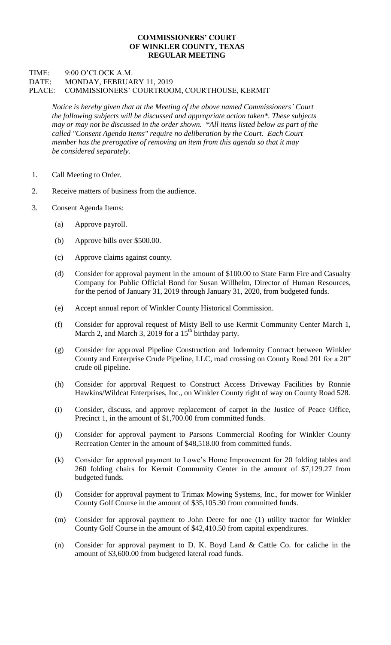## **COMMISSIONERS' COURT OF WINKLER COUNTY, TEXAS REGULAR MEETING**

## TIME: 9:00 O'CLOCK A.M. DATE: MONDAY, FEBRUARY 11, 2019 PLACE: COMMISSIONERS' COURTROOM, COURTHOUSE, KERMIT

*Notice is hereby given that at the Meeting of the above named Commissioners' Court the following subjects will be discussed and appropriate action taken\*. These subjects may or may not be discussed in the order shown. \*All items listed below as part of the called "Consent Agenda Items" require no deliberation by the Court. Each Court member has the prerogative of removing an item from this agenda so that it may be considered separately.*

- 1. Call Meeting to Order.
- 2. Receive matters of business from the audience.
- 3. Consent Agenda Items:
	- (a) Approve payroll.
	- (b) Approve bills over \$500.00.
	- (c) Approve claims against county.
	- (d) Consider for approval payment in the amount of \$100.00 to State Farm Fire and Casualty Company for Public Official Bond for Susan Willhelm, Director of Human Resources, for the period of January 31, 2019 through January 31, 2020, from budgeted funds.
	- (e) Accept annual report of Winkler County Historical Commission.
	- (f) Consider for approval request of Misty Bell to use Kermit Community Center March 1, March 2, and March 3, 2019 for a  $15<sup>th</sup>$  birthday party.
	- (g) Consider for approval Pipeline Construction and Indemnity Contract between Winkler County and Enterprise Crude Pipeline, LLC, road crossing on County Road 201 for a 20" crude oil pipeline.
	- (h) Consider for approval Request to Construct Access Driveway Facilities by Ronnie Hawkins/Wildcat Enterprises, Inc., on Winkler County right of way on County Road 528.
	- (i) Consider, discuss, and approve replacement of carpet in the Justice of Peace Office, Precinct 1, in the amount of \$1,700.00 from committed funds.
	- (j) Consider for approval payment to Parsons Commercial Roofing for Winkler County Recreation Center in the amount of \$48,518.00 from committed funds.
	- (k) Consider for approval payment to Lowe's Home Improvement for 20 folding tables and 260 folding chairs for Kermit Community Center in the amount of \$7,129.27 from budgeted funds.
	- (l) Consider for approval payment to Trimax Mowing Systems, Inc., for mower for Winkler County Golf Course in the amount of \$35,105.30 from committed funds.
	- (m) Consider for approval payment to John Deere for one (1) utility tractor for Winkler County Golf Course in the amount of \$42,410.50 from capital expenditures.
	- (n) Consider for approval payment to D. K. Boyd Land & Cattle Co. for caliche in the amount of \$3,600.00 from budgeted lateral road funds.